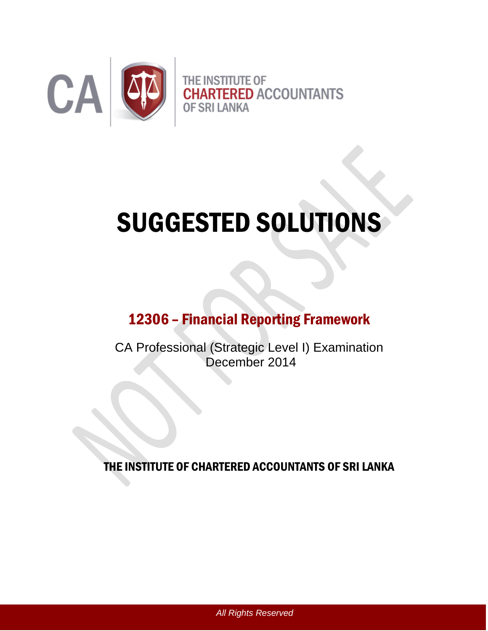

# SUGGESTED SOLUTIONS

# 12306 – Financial Reporting Framework

CA Professional (Strategic Level I) Examination December 2014

THE INSTITUTE OF CHARTERED ACCOUNTANTS OF SRI LANKA

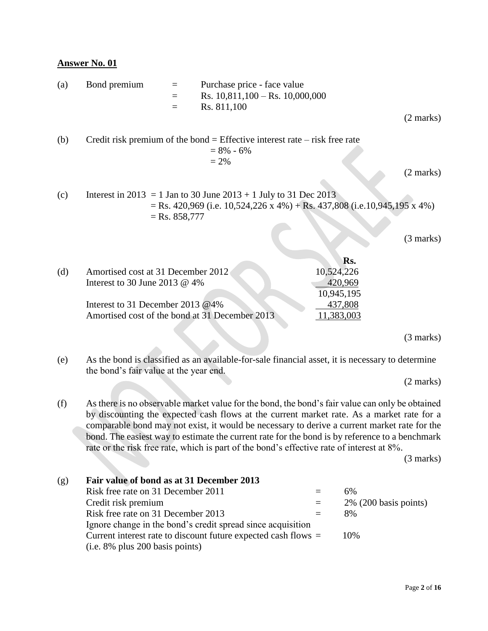| (a) | Bond premium                                                                                                                                              | $=$<br>$=$<br>$=$ | Purchase price - face value<br>Rs. $10,811,100$ – Rs. $10,000,000$<br>Rs. 811,100                        |                                                                                                                                                                                                                                                                                                                                                                                                |                     |
|-----|-----------------------------------------------------------------------------------------------------------------------------------------------------------|-------------------|----------------------------------------------------------------------------------------------------------|------------------------------------------------------------------------------------------------------------------------------------------------------------------------------------------------------------------------------------------------------------------------------------------------------------------------------------------------------------------------------------------------|---------------------|
|     |                                                                                                                                                           |                   |                                                                                                          |                                                                                                                                                                                                                                                                                                                                                                                                | $(2 \text{ marks})$ |
| (b) |                                                                                                                                                           |                   | Credit risk premium of the bond = Effective interest rate $-$ risk free rate<br>$= 8\% - 6\%$<br>$= 2\%$ |                                                                                                                                                                                                                                                                                                                                                                                                |                     |
|     |                                                                                                                                                           |                   |                                                                                                          |                                                                                                                                                                                                                                                                                                                                                                                                | $(2 \text{ marks})$ |
| (c) |                                                                                                                                                           | $=$ Rs. 858,777   | Interest in 2013 = 1 Jan to 30 June 2013 + 1 July to 31 Dec 2013                                         | $=$ Rs. 420,969 (i.e. 10,524,226 x 4%) + Rs. 437,808 (i.e.10,945,195 x 4%)                                                                                                                                                                                                                                                                                                                     |                     |
|     |                                                                                                                                                           |                   |                                                                                                          |                                                                                                                                                                                                                                                                                                                                                                                                | $(3 \text{ marks})$ |
|     |                                                                                                                                                           |                   |                                                                                                          | Rs.                                                                                                                                                                                                                                                                                                                                                                                            |                     |
| (d) | Amortised cost at 31 December 2012<br>Interest to 30 June 2013 @ 4%<br>Interest to 31 December 2013 @4%<br>Amortised cost of the bond at 31 December 2013 |                   |                                                                                                          | 10,524,226<br>420,969<br>10,945,195<br>437,808<br>11,383,003                                                                                                                                                                                                                                                                                                                                   |                     |
|     |                                                                                                                                                           |                   |                                                                                                          |                                                                                                                                                                                                                                                                                                                                                                                                | $(3 \text{ marks})$ |
| (e) | the bond's fair value at the year end.                                                                                                                    |                   |                                                                                                          | As the bond is classified as an available-for-sale financial asset, it is necessary to determine                                                                                                                                                                                                                                                                                               |                     |
|     |                                                                                                                                                           |                   |                                                                                                          |                                                                                                                                                                                                                                                                                                                                                                                                | $(2 \text{ marks})$ |
| (f) |                                                                                                                                                           |                   |                                                                                                          | As there is no observable market value for the bond, the bond's fair value can only be obtained<br>by discounting the expected cash flows at the current market rate. As a market rate for a<br>comparable bond may not exist, it would be necessary to derive a current market rate for the<br>bond. The easiest way to estimate the current rate for the bond is by reference to a benchmark |                     |

rate or the risk free rate, which is part of the bond's effective rate of interest at 8%.

(3 marks)

| (g) | Fair value of bond as at 31 December 2013                        |     |                          |
|-----|------------------------------------------------------------------|-----|--------------------------|
|     | Risk free rate on 31 December 2011                               | $=$ | 6%                       |
|     | Credit risk premium                                              | $=$ | $2\%$ (200 basis points) |
|     | Risk free rate on 31 December 2013                               | $=$ | 8%                       |
|     | Ignore change in the bond's credit spread since acquisition      |     |                          |
|     | Current interest rate to discount future expected cash flows $=$ |     | 10%                      |
|     | $(i.e. 8\%$ plus 200 basis points)                               |     |                          |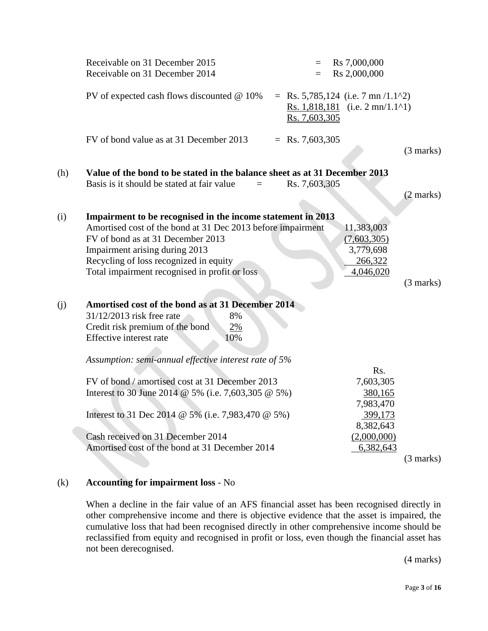|     | Receivable on 31 December 2015<br>Receivable on 31 December 2014                                                                                                                                                                                                                             | $=$<br>$=$    | Rs 7,000,000<br>Rs 2,000,000                                                                  |                     |
|-----|----------------------------------------------------------------------------------------------------------------------------------------------------------------------------------------------------------------------------------------------------------------------------------------------|---------------|-----------------------------------------------------------------------------------------------|---------------------|
|     | PV of expected cash flows discounted $@$ 10%                                                                                                                                                                                                                                                 | Rs. 7,603,305 | = Rs. 5,785,124 (i.e. 7 mn $/1.1^2$ )<br>Rs. 1,818,181 (i.e. $2 \text{ mn}/1.1^{\text{A}}$ 1) |                     |
|     | FV of bond value as at 31 December 2013<br>$=$ Rs. 7,603,305                                                                                                                                                                                                                                 |               |                                                                                               | $(3 \text{ marks})$ |
| (h) | Value of the bond to be stated in the balance sheet as at 31 December 2013<br>Basis is it should be stated at fair value<br>$=$                                                                                                                                                              | Rs. 7,603,305 |                                                                                               | $(2 \text{ marks})$ |
| (i) | Impairment to be recognised in the income statement in 2013<br>Amortised cost of the bond at 31 Dec 2013 before impairment<br>FV of bond as at 31 December 2013<br>Impairment arising during 2013<br>Recycling of loss recognized in equity<br>Total impairment recognised in profit or loss |               | 11,383,003<br>(7,603,305)<br>3,779,698<br>266,322<br>4,046,020                                | (3 marks)           |
| (j) | Amortised cost of the bond as at 31 December 2014<br>31/12/2013 risk free rate<br>8%<br>Credit risk premium of the bond<br>2%<br>Effective interest rate<br>10%<br>Assumption: semi-annual effective interest rate of 5%                                                                     |               |                                                                                               |                     |
|     | FV of bond / amortised cost at 31 December 2013<br>Interest to 30 June 2014 @ 5% (i.e. 7,603,305 @ 5%)                                                                                                                                                                                       |               | Rs.<br>7,603,305<br>380,165<br>7,983,470                                                      |                     |
|     | Interest to 31 Dec 2014 @ 5% (i.e. 7,983,470 @ 5%)                                                                                                                                                                                                                                           |               | 399,173<br>8,382,643                                                                          |                     |
|     | Cash received on 31 December 2014<br>Amortised cost of the bond at 31 December 2014                                                                                                                                                                                                          |               | (2,000,000)<br>6,382,643                                                                      | $(3 \text{ marks})$ |
|     |                                                                                                                                                                                                                                                                                              |               |                                                                                               |                     |

#### (k) **Accounting for impairment loss** - No

When a decline in the fair value of an AFS financial asset has been recognised directly in other comprehensive income and there is objective evidence that the asset is impaired, the cumulative loss that had been recognised directly in other comprehensive income should be reclassified from equity and recognised in profit or loss, even though the financial asset has not been derecognised.

(4 marks)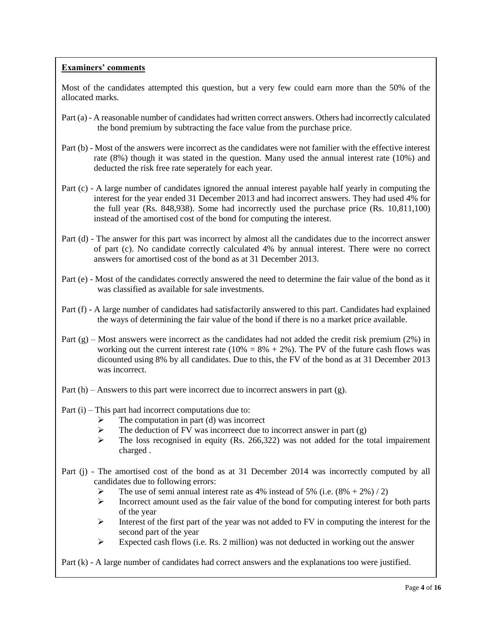Most of the candidates attempted this question, but a very few could earn more than the 50% of the allocated marks.

- Part (a) A reasonable number of candidates had written correct answers. Others had incorrectly calculated the bond premium by subtracting the face value from the purchase price.
- Part (b) Most of the answers were incorrect as the candidates were not familier with the effective interest rate (8%) though it was stated in the question. Many used the annual interest rate (10%) and deducted the risk free rate seperately for each year.
- Part (c) A large number of candidates ignored the annual interest payable half yearly in computing the interest for the year ended 31 December 2013 and had incorrect answers. They had used 4% for the full year (Rs. 848,938). Some had incorrectly used the purchase price (Rs. 10,811,100) instead of the amortised cost of the bond for computing the interest.
- Part (d) The answer for this part was incorrect by almost all the candidates due to the incorrect answer of part (c). No candidate correctly calculated 4% by annual interest. There were no correct answers for amortised cost of the bond as at 31 December 2013.
- Part (e) Most of the candidates correctly answered the need to determine the fair value of the bond as it was classified as available for sale investments.
- Part (f) A large number of candidates had satisfactorily answered to this part. Candidates had explained the ways of determining the fair value of the bond if there is no a market price available.
- Part  $(g)$  Most answers were incorrect as the candidates had not added the credit risk premium (2%) in working out the current interest rate ( $10\% = 8\% + 2\%$ ). The PV of the future cash flows was dicounted using 8% by all candidates. Due to this, the FV of the bond as at 31 December 2013 was incorrect.
- Part (h) Answers to this part were incorrect due to incorrect answers in part (g).
- Part (i) This part had incorrect computations due to:
	- $\triangleright$  The computation in part (d) was incorrect
	- $\triangleright$  The deduction of FV was incorrect due to incorrect answer in part (g)
	- $\triangleright$  The loss recognised in equity (Rs. 266,322) was not added for the total impairement charged .
- Part (j) The amortised cost of the bond as at 31 December 2014 was incorrectly computed by all candidates due to following errors:
	- $\triangleright$  The use of semi annual interest rate as 4% instead of 5% (i.e.  $(8\% + 2\%) / 2$ )
	- $\triangleright$  Incorrect amount used as the fair value of the bond for computing interest for both parts of the year
	- $\triangleright$  Interest of the first part of the year was not added to FV in computing the interest for the second part of the year
	- Expected cash flows (i.e. Rs. 2 million) was not deducted in working out the answer

Part (k) - A large number of candidates had correct answers and the explanations too were justified.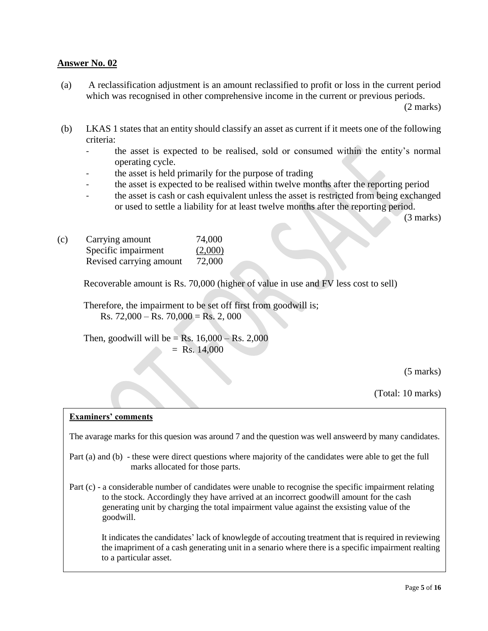(a) A reclassification adjustment is an amount reclassified to profit or loss in the current period which was recognised in other comprehensive income in the current or previous periods.

(2 marks)

- (b) LKAS 1 states that an entity should classify an asset as current if it meets one of the following criteria:
	- the asset is expected to be realised, sold or consumed within the entity's normal operating cycle.
	- the asset is held primarily for the purpose of trading
	- the asset is expected to be realised within twelve months after the reporting period
	- the asset is cash or cash equivalent unless the asset is restricted from being exchanged or used to settle a liability for at least twelve months after the reporting period.

(3 marks)

| (c) | Carrying amount         | 74,000  |
|-----|-------------------------|---------|
|     | Specific impairment     | (2,000) |
|     | Revised carrying amount | 72,000  |

Recoverable amount is Rs. 70,000 (higher of value in use and FV less cost to sell)

 Therefore, the impairment to be set off first from goodwill is; Rs.  $72,000 -$ Rs.  $70,000 =$ Rs.  $2,000$ 

Then, goodwill will be = Rs.  $16,000 -$  Rs. 2,000  $=$  Rs. 14,000

(5 marks)

(Total: 10 marks)

#### **Examiners' comments**

The avarage marks for this quesion was around 7 and the question was well answeerd by many candidates.

- Part (a) and (b) these were direct questions where majority of the candidates were able to get the full marks allocated for those parts.
- Part (c) a considerable number of candidates were unable to recognise the specific impairment relating to the stock. Accordingly they have arrived at an incorrect goodwill amount for the cash generating unit by charging the total impairment value against the exsisting value of the goodwill.

It indicates the candidates' lack of knowlegde of accouting treatment that is required in reviewing the imapriment of a cash generating unit in a senario where there is a specific impairment realting to a particular asset.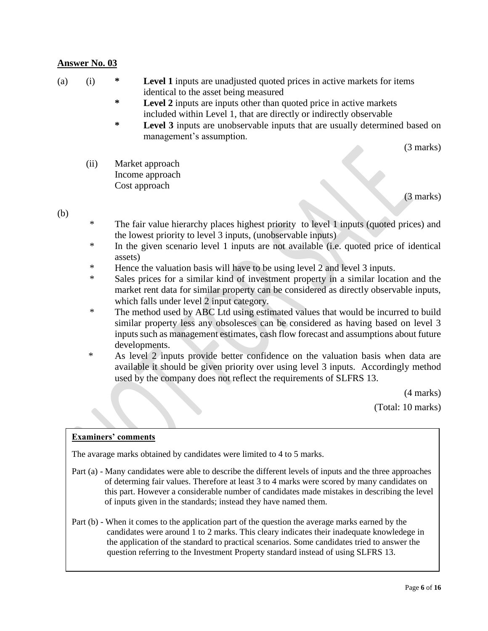- (a) (i) **\* Level 1** inputs are unadjusted quoted prices in active markets for items identical to the asset being measured
	- **\* Level 2** inputs are inputs other than quoted price in active markets included within Level 1, that are directly or indirectly observable
	- **\* Level 3** inputs are unobservable inputs that are usually determined based on management's assumption.

(3 marks)

(ii) Market approach Income approach Cost approach

(3 marks)

#### (b)

- \* The fair value hierarchy places highest priority to level 1 inputs (quoted prices) and the lowest priority to level 3 inputs, (unobservable inputs)
- \* In the given scenario level 1 inputs are not available (i.e. quoted price of identical assets)
- \* Hence the valuation basis will have to be using level 2 and level 3 inputs.
- \* Sales prices for a similar kind of investment property in a similar location and the market rent data for similar property can be considered as directly observable inputs, which falls under level 2 input category.
- \* The method used by ABC Ltd using estimated values that would be incurred to build similar property less any obsolesces can be considered as having based on level 3 inputs such as management estimates, cash flow forecast and assumptions about future developments.
- \* As level 2 inputs provide better confidence on the valuation basis when data are available it should be given priority over using level 3 inputs. Accordingly method used by the company does not reflect the requirements of SLFRS 13.

(4 marks)

(Total: 10 marks)

#### **Examiners' comments**

The avarage marks obtained by candidates were limited to 4 to 5 marks.

- Part (a) Many candidates were able to describe the different levels of inputs and the three approaches of determing fair values. Therefore at least 3 to 4 marks were scored by many candidates on this part. However a considerable number of candidates made mistakes in describing the level of inputs given in the standards; instead they have named them.
- Part (b) When it comes to the application part of the question the average marks earned by the candidates were around 1 to 2 marks. This cleary indicates their inadequate knowledege in the application of the standard to practical scenarios. Some candidates tried to answer the question referring to the Investment Property standard instead of using SLFRS 13.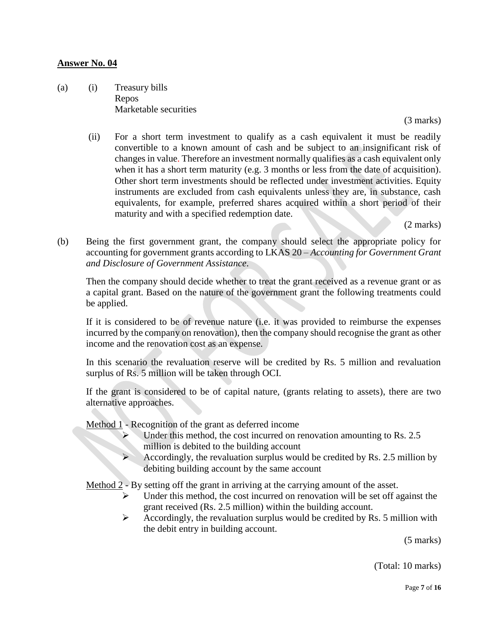(a) (i) Treasury bills Repos Marketable securities

(3 marks)

(ii) For a short term investment to qualify as a cash equivalent it must be readily convertible to a known amount of cash and be subject to an insignificant risk of changes in value. Therefore an investment normally qualifies as a cash equivalent only when it has a short term maturity (e.g. 3 months or less from the date of acquisition). Other short term investments should be reflected under investment activities. Equity instruments are excluded from cash equivalents unless they are, in substance, cash equivalents, for example, preferred shares acquired within a short period of their maturity and with a specified redemption date.

(2 marks)

(b) Being the first government grant, the company should select the appropriate policy for accounting for government grants according to LKAS 20 – *Accounting for Government Grant and Disclosure of Government Assistance*.

Then the company should decide whether to treat the grant received as a revenue grant or as a capital grant. Based on the nature of the government grant the following treatments could be applied.

If it is considered to be of revenue nature (i.e. it was provided to reimburse the expenses incurred by the company on renovation), then the company should recognise the grant as other income and the renovation cost as an expense.

In this scenario the revaluation reserve will be credited by Rs. 5 million and revaluation surplus of Rs. 5 million will be taken through OCI.

If the grant is considered to be of capital nature, (grants relating to assets), there are two alternative approaches.

Method 1 - Recognition of the grant as deferred income

- $\triangleright$  Under this method, the cost incurred on renovation amounting to Rs. 2.5 million is debited to the building account<br> $\triangleright$  Accordingly, the revaluation surplus would
- Accordingly, the revaluation surplus would be credited by Rs. 2.5 million by debiting building account by the same account

Method 2 - By setting off the grant in arriving at the carrying amount of the asset.

- Under this method, the cost incurred on renovation will be set off against the grant received (Rs. 2.5 million) within the building account.
- $\triangleright$  Accordingly, the revaluation surplus would be credited by Rs. 5 million with the debit entry in building account.

(5 marks)

(Total: 10 marks)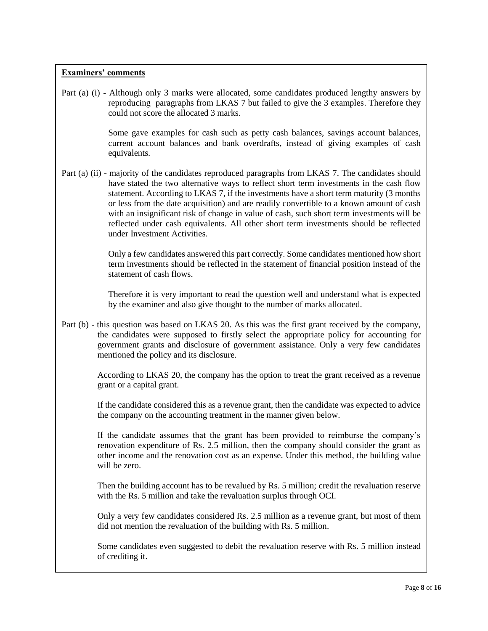Part (a) (i) - Although only 3 marks were allocated, some candidates produced lengthy answers by reproducing paragraphs from LKAS 7 but failed to give the 3 examples. Therefore they could not score the allocated 3 marks.

> Some gave examples for cash such as petty cash balances, savings account balances, current account balances and bank overdrafts, instead of giving examples of cash equivalents.

Part (a) (ii) - majority of the candidates reproduced paragraphs from LKAS 7. The candidates should have stated the two alternative ways to reflect short term investments in the cash flow statement. According to LKAS 7, if the investments have a short term maturity (3 months or less from the date acquisition) and are readily convertible to a known amount of cash with an insignificant risk of change in value of cash, such short term investments will be reflected under cash equivalents. All other short term investments should be reflected under Investment Activities.

> Only a few candidates answered this part correctly. Some candidates mentioned how short term investments should be reflected in the statement of financial position instead of the statement of cash flows.

> Therefore it is very important to read the question well and understand what is expected by the examiner and also give thought to the number of marks allocated.

Part (b) - this question was based on LKAS 20. As this was the first grant received by the company, the candidates were supposed to firstly select the appropriate policy for accounting for government grants and disclosure of government assistance. Only a very few candidates mentioned the policy and its disclosure.

> According to LKAS 20, the company has the option to treat the grant received as a revenue grant or a capital grant.

> If the candidate considered this as a revenue grant, then the candidate was expected to advice the company on the accounting treatment in the manner given below.

> If the candidate assumes that the grant has been provided to reimburse the company's renovation expenditure of Rs. 2.5 million, then the company should consider the grant as other income and the renovation cost as an expense. Under this method, the building value will be zero.

> Then the building account has to be revalued by Rs. 5 million; credit the revaluation reserve with the Rs. 5 million and take the revaluation surplus through OCI.

> Only a very few candidates considered Rs. 2.5 million as a revenue grant, but most of them did not mention the revaluation of the building with Rs. 5 million.

> Some candidates even suggested to debit the revaluation reserve with Rs. 5 million instead of crediting it.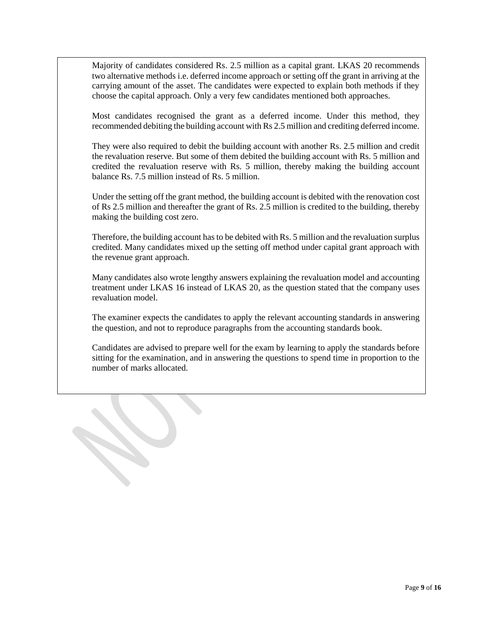Majority of candidates considered Rs. 2.5 million as a capital grant. LKAS 20 recommends two alternative methods i.e. deferred income approach or setting off the grant in arriving at the carrying amount of the asset. The candidates were expected to explain both methods if they choose the capital approach. Only a very few candidates mentioned both approaches.

Most candidates recognised the grant as a deferred income. Under this method, they recommended debiting the building account with Rs 2.5 million and crediting deferred income.

They were also required to debit the building account with another Rs. 2.5 million and credit the revaluation reserve. But some of them debited the building account with Rs. 5 million and credited the revaluation reserve with Rs. 5 million, thereby making the building account balance Rs. 7.5 million instead of Rs. 5 million.

Under the setting off the grant method, the building account is debited with the renovation cost of Rs 2.5 million and thereafter the grant of Rs. 2.5 million is credited to the building, thereby making the building cost zero.

Therefore, the building account has to be debited with Rs. 5 million and the revaluation surplus credited. Many candidates mixed up the setting off method under capital grant approach with the revenue grant approach.

Many candidates also wrote lengthy answers explaining the revaluation model and accounting treatment under LKAS 16 instead of LKAS 20, as the question stated that the company uses revaluation model.

The examiner expects the candidates to apply the relevant accounting standards in answering the question, and not to reproduce paragraphs from the accounting standards book.

Candidates are advised to prepare well for the exam by learning to apply the standards before sitting for the examination, and in answering the questions to spend time in proportion to the number of marks allocated.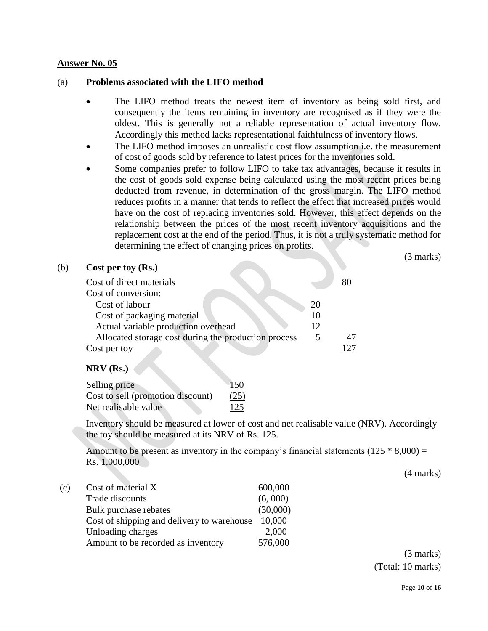#### (a) **Problems associated with the LIFO method**

- The LIFO method treats the newest item of inventory as being sold first, and consequently the items remaining in inventory are recognised as if they were the oldest. This is generally not a reliable representation of actual inventory flow. Accordingly this method lacks representational faithfulness of inventory flows.
- The LIFO method imposes an unrealistic cost flow assumption i.e. the measurement of cost of goods sold by reference to latest prices for the inventories sold.
- Some companies prefer to follow LIFO to take tax advantages, because it results in the cost of goods sold expense being calculated using the most recent prices being deducted from revenue, in determination of the gross margin. The LIFO method reduces profits in a manner that tends to reflect the effect that increased prices would have on the cost of replacing inventories sold. However, this effect depends on the relationship between the prices of the most recent inventory acquisitions and the replacement cost at the end of the period. Thus, it is not a truly systematic method for determining the effect of changing prices on profits.

(3 marks)

| (b) | Cost per toy (Rs.)                                   |    |    |  |  |
|-----|------------------------------------------------------|----|----|--|--|
|     | Cost of direct materials                             |    | 80 |  |  |
|     | Cost of conversion:                                  |    |    |  |  |
|     | Cost of labour                                       | 20 |    |  |  |
|     | Cost of packaging material                           |    |    |  |  |
|     | Actual variable production overhead                  | 12 |    |  |  |
|     | Allocated storage cost during the production process |    |    |  |  |
|     | Cost per toy                                         |    |    |  |  |

#### **NRV (Rs.)**

 $(b)$ 

| Selling price                     | $-150$ |
|-----------------------------------|--------|
| Cost to sell (promotion discount) | (25)   |
| Net realisable value              | 125    |

Inventory should be measured at lower of cost and net realisable value (NRV). Accordingly the toy should be measured at its NRV of Rs. 125.

Amount to be present as inventory in the company's financial statements  $(125 * 8,000) =$ Rs. 1,000,000

(4 marks)

(c) Cost of material X 600,000 Trade discounts (6, 000) Bulk purchase rebates (30,000) Cost of shipping and delivery to warehouse 10,000 Unloading charges 2,000 Amount to be recorded as inventory 576,000

> (3 marks) (Total: 10 marks)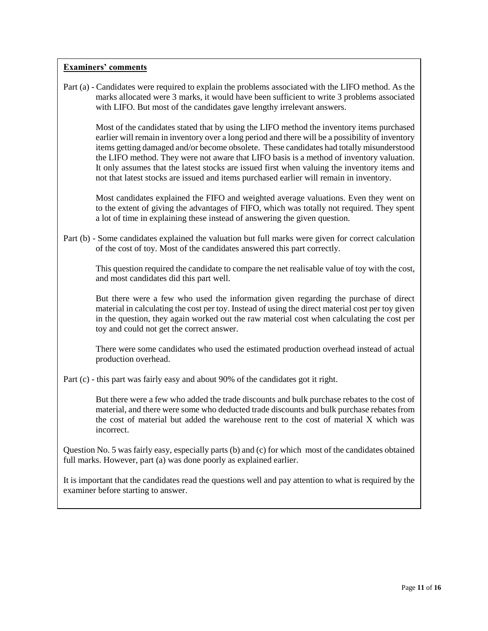Part (a) - Candidates were required to explain the problems associated with the LIFO method. As the marks allocated were 3 marks, it would have been sufficient to write 3 problems associated with LIFO. But most of the candidates gave lengthy irrelevant answers.

Most of the candidates stated that by using the LIFO method the inventory items purchased earlier will remain in inventory over a long period and there will be a possibility of inventory items getting damaged and/or become obsolete. These candidates had totally misunderstood the LIFO method. They were not aware that LIFO basis is a method of inventory valuation. It only assumes that the latest stocks are issued first when valuing the inventory items and not that latest stocks are issued and items purchased earlier will remain in inventory.

Most candidates explained the FIFO and weighted average valuations. Even they went on to the extent of giving the advantages of FIFO, which was totally not required. They spent a lot of time in explaining these instead of answering the given question.

Part (b) - Some candidates explained the valuation but full marks were given for correct calculation of the cost of toy. Most of the candidates answered this part correctly.

This question required the candidate to compare the net realisable value of toy with the cost, and most candidates did this part well.

But there were a few who used the information given regarding the purchase of direct material in calculating the cost per toy. Instead of using the direct material cost per toy given in the question, they again worked out the raw material cost when calculating the cost per toy and could not get the correct answer.

There were some candidates who used the estimated production overhead instead of actual production overhead.

Part (c) - this part was fairly easy and about 90% of the candidates got it right.

But there were a few who added the trade discounts and bulk purchase rebates to the cost of material, and there were some who deducted trade discounts and bulk purchase rebates from the cost of material but added the warehouse rent to the cost of material X which was incorrect.

Question No. 5 was fairly easy, especially parts (b) and (c) for which most of the candidates obtained full marks. However, part (a) was done poorly as explained earlier.

It is important that the candidates read the questions well and pay attention to what is required by the examiner before starting to answer.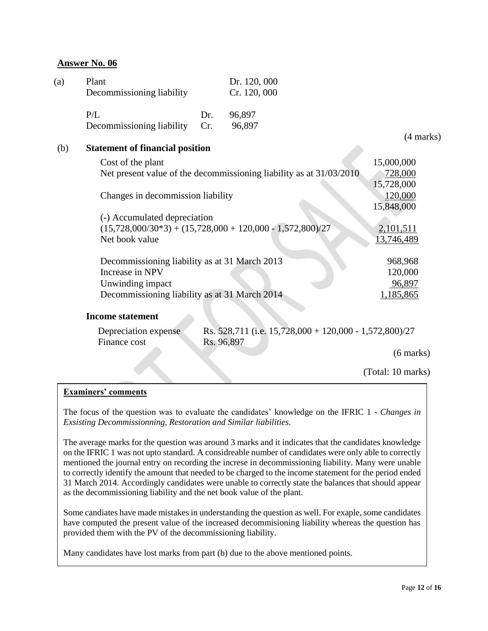| (a) | Plant<br>Decommissioning liability                                                                                                    |                                           | Dr. 120, 000<br>Cr. 120, 000                                            |                                     |
|-----|---------------------------------------------------------------------------------------------------------------------------------------|-------------------------------------------|-------------------------------------------------------------------------|-------------------------------------|
|     | P/L<br>Decommissioning liability                                                                                                      | Dr.<br>Cr.                                | 96,897<br>96,897                                                        |                                     |
|     |                                                                                                                                       |                                           |                                                                         | (4 marks)                           |
| (b) | <b>Statement of financial position</b>                                                                                                |                                           |                                                                         |                                     |
|     | Cost of the plant                                                                                                                     |                                           | Net present value of the decommissioning liability as at 31/03/2010     | 15,000,000<br>728,000<br>15,728,000 |
|     | Changes in decommission liability                                                                                                     |                                           |                                                                         | 120,000<br>15,848,000               |
|     | (-) Accumulated depreciation<br>Net book value                                                                                        |                                           | $(15,728,000/30*3) + (15,728,000 + 120,000 - 1,572,800)/27$             | 2,101,511<br><u>13,746,489</u>      |
|     | Decommissioning liability as at 31 March 2013<br>Increase in NPV<br>Unwinding impact<br>Decommissioning liability as at 31 March 2014 | 968,968<br>120,000<br>96,897<br>1,185,865 |                                                                         |                                     |
|     | <b>Income statement</b>                                                                                                               |                                           |                                                                         |                                     |
|     | Depreciation expense<br>Finance cost                                                                                                  |                                           | Rs. 528,711 (i.e. $15,728,000 + 120,000 - 1,572,800$ )/27<br>Rs. 96,897 |                                     |
|     |                                                                                                                                       |                                           |                                                                         | $(6 \text{ marks})$                 |
|     |                                                                                                                                       |                                           |                                                                         | (Total: 10 marks)                   |

#### **Examiners' comments**

The focus of the question was to evaluate the candidates' knowledge on the IFRIC 1 - *Changes in Exsisting Decommissionning, Restoration and Similar liabilities.*

The average marks for the question was around 3 marks and it indicates that the candidates knowledge on the IFRIC 1 was not upto standard. A considreable number of candidates were only able to correctly mentioned the journal entry on recording the increse in decommissioning liability. Many were unable to correctly identify the amount that needed to be charged to the income statement for the period ended 31 March 2014. Accordingly candidates were unable to correctly state the balances that should appear as the decommissioning liability and the net book value of the plant.

Some candiates have made mistakes in understanding the question as well. For exaple, some candidates have computed the present value of the increased decommisioning liability whereas the question has provided them with the PV of the decommissioning liability.

Many candidates have lost marks from part (b) due to the above mentioned points.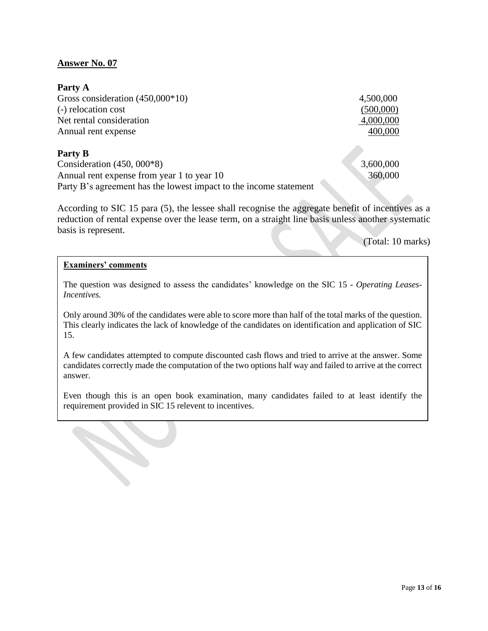#### **Party A**

| Gross consideration $(450,000*10)$                                | 4,500,000 |
|-------------------------------------------------------------------|-----------|
| (-) relocation cost                                               | (500,000) |
| Net rental consideration                                          | 4,000,000 |
| Annual rent expense                                               | 400,000   |
| Party B                                                           |           |
| Consideration $(450, 000*8)$                                      | 3,600,000 |
| Annual rent expense from year 1 to year 10                        | 360,000   |
| Party B's agreement has the lowest impact to the income statement |           |

According to SIC 15 para (5), the lessee shall recognise the aggregate benefit of incentives as a reduction of rental expense over the lease term, on a straight line basis unless another systematic basis is represent.

(Total: 10 marks)

#### **Examiners' comments**

The question was designed to assess the candidates' knowledge on the SIC 15 - *Operating Leases-Incentives.*

Only around 30% of the candidates were able to score more than half of the total marks of the question. This clearly indicates the lack of knowledge of the candidates on identification and application of SIC 15.

A few candidates attempted to compute discounted cash flows and tried to arrive at the answer. Some candidates correctly made the computation of the two options half way and failed to arrive at the correct answer.

Even though this is an open book examination, many candidates failed to at least identify the requirement provided in SIC 15 relevent to incentives.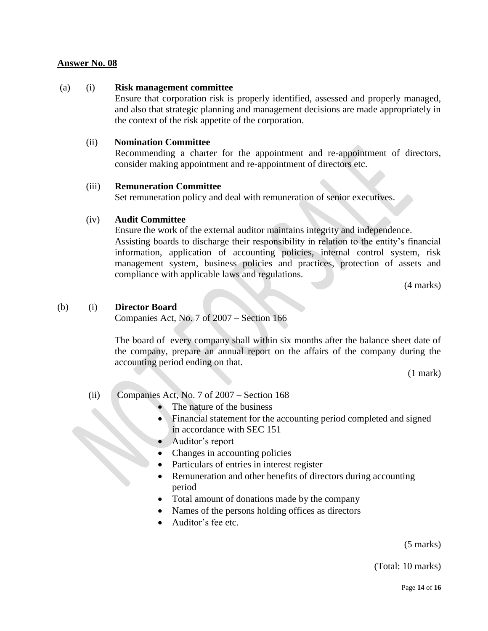## (a) (i) **Risk management committee**

Ensure that corporation risk is properly identified, assessed and properly managed, and also that strategic planning and management decisions are made appropriately in the context of the risk appetite of the corporation.

# (ii) **Nomination Committee**

Recommending a charter for the appointment and re-appointment of directors, consider making appointment and re-appointment of directors etc.

# (iii) **Remuneration Committee**

Set remuneration policy and deal with remuneration of senior executives.

# (iv) **Audit Committee**

Ensure the work of the external auditor maintains integrity and independence. Assisting boards to discharge their responsibility in relation to the entity's financial information, application of accounting policies, internal control system, risk management system, business policies and practices, protection of assets and compliance with applicable laws and regulations.

(4 marks)

#### (b) (i) **Director Board**

Companies Act, No. 7 of 2007 – Section 166

The board of every company shall within six months after the balance sheet date of the company, prepare an annual report on the affairs of the company during the accounting period ending on that.

(1 mark)

### (ii) Companies Act, No. 7 of 2007 – Section 168

- The nature of the business
- Financial statement for the accounting period completed and signed in accordance with SEC 151
- Auditor's report
- Changes in accounting policies
- Particulars of entries in interest register
- Remuneration and other benefits of directors during accounting period
- Total amount of donations made by the company
- Names of the persons holding offices as directors
- Auditor's fee etc.

(5 marks)

(Total: 10 marks)

Page **14** of **16**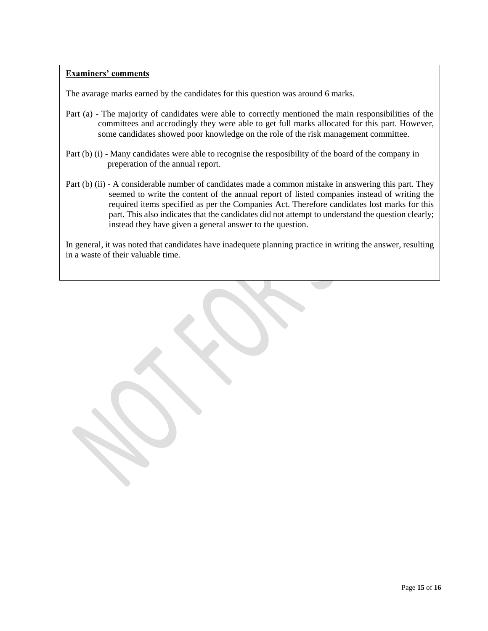The avarage marks earned by the candidates for this question was around 6 marks.

- Part (a) The majority of candidates were able to correctly mentioned the main responsibilities of the committees and accrodingly they were able to get full marks allocated for this part. However, some candidates showed poor knowledge on the role of the risk management committee.
- Part (b) (i) Many candidates were able to recognise the resposibility of the board of the company in preperation of the annual report.
- Part (b) (ii) A considerable number of candidates made a common mistake in answering this part. They seemed to write the content of the annual report of listed companies instead of writing the required items specified as per the Companies Act. Therefore candidates lost marks for this part. This also indicates that the candidates did not attempt to understand the question clearly; instead they have given a general answer to the question.

In general, it was noted that candidates have inadequete planning practice in writing the answer, resulting in a waste of their valuable time.